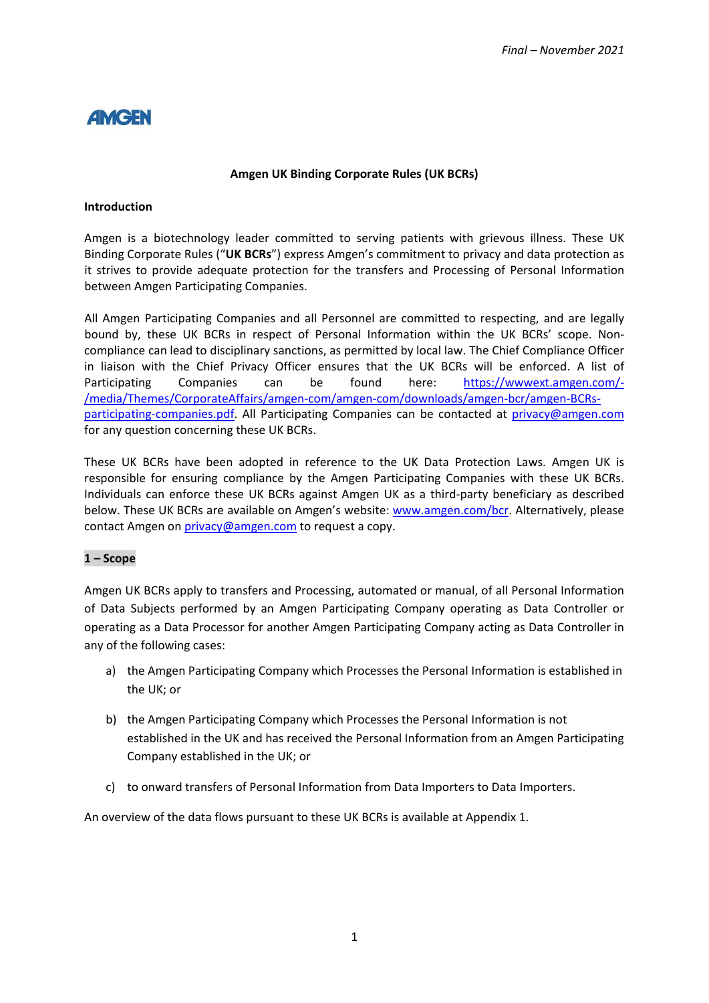# **AMGEN**

#### **Amgen UK Binding Corporate Rules (UK BCRs)**

#### **Introduction**

Amgen is a biotechnology leader committed to serving patients with grievous illness. These UK Binding Corporate Rules ("**UK BCRs**") express Amgen's commitment to privacy and data protection as it strives to provide adequate protection for the transfers and Processing of Personal Information between Amgen Participating Companies.

All Amgen Participating Companies and all Personnel are committed to respecting, and are legally bound by, these UK BCRs in respect of Personal Information within the UK BCRs' scope. Noncompliance can lead to disciplinary sanctions, as permitted by local law. The Chief Compliance Officer in liaison with the Chief Privacy Officer ensures that the UK BCRs will be enforced. A list of Participating Companies can be found here: [https://wwwext.amgen.com/-](https://wwwext.amgen.com/-/media/Themes/CorporateAffairs/amgen-com/amgen-com/downloads/amgen-bcr/amgen-BCRs-participating-companies.pdf) [/media/Themes/CorporateAffairs/amgen-com/amgen-com/downloads/amgen-bcr/amgen-BCRs](https://wwwext.amgen.com/-/media/Themes/CorporateAffairs/amgen-com/amgen-com/downloads/amgen-bcr/amgen-BCRs-participating-companies.pdf)[participating-companies.pdf.](https://wwwext.amgen.com/-/media/Themes/CorporateAffairs/amgen-com/amgen-com/downloads/amgen-bcr/amgen-BCRs-participating-companies.pdf) All Participating Companies can be contacted at [privacy@amgen.com](mailto:privacy@amgen.com) for any question concerning these UK BCRs.

These UK BCRs have been adopted in reference to the UK Data Protection Laws. Amgen UK is responsible for ensuring compliance by the Amgen Participating Companies with these UK BCRs. Individuals can enforce these UK BCRs against Amgen UK as a third-party beneficiary as described below. These UK BCRs are available on Amgen's website: [www.amgen.com/bcr.](http://www.amgen.com/bcr) Alternatively, please contact Amgen on [privacy@amgen.com](mailto:privacy@amgen.com) to request a copy.

### **1 – Scope**

Amgen UK BCRs apply to transfers and Processing, automated or manual, of all Personal Information of Data Subjects performed by an Amgen Participating Company operating as Data Controller or operating as a Data Processor for another Amgen Participating Company acting as Data Controller in any of the following cases:

- a) the Amgen Participating Company which Processes the Personal Information is established in the UK; or
- b) the Amgen Participating Company which Processes the Personal Information is not established in the UK and has received the Personal Information from an Amgen Participating Company established in the UK; or
- c) to onward transfers of Personal Information from Data Importers to Data Importers.

An overview of the data flows pursuant to these UK BCRs is available at Appendix 1.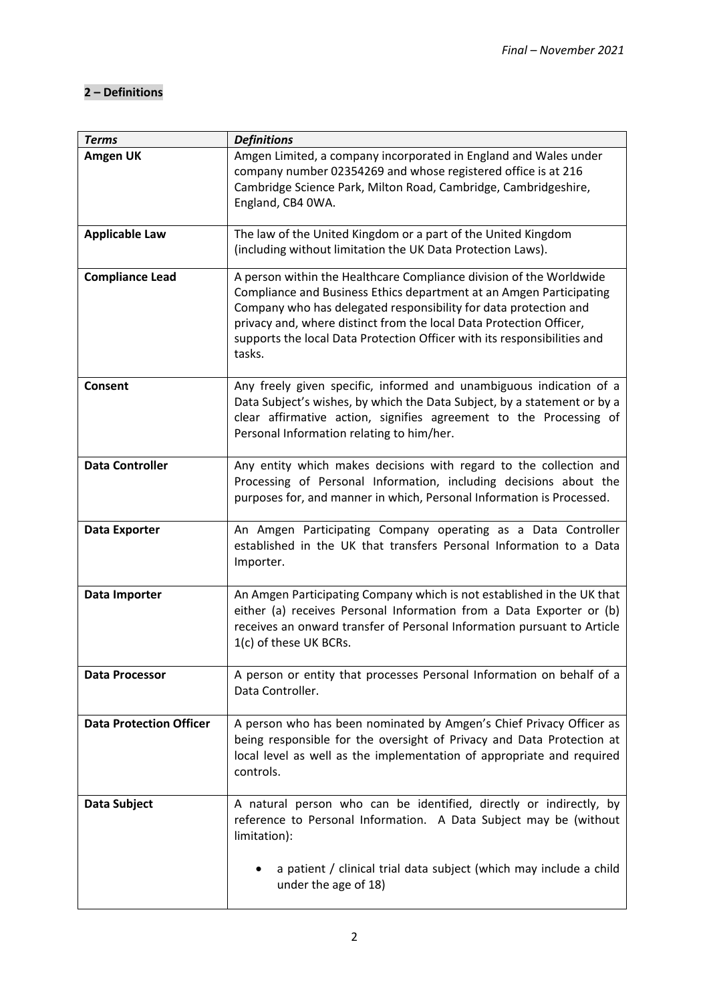# **2 – Definitions**

| <b>Terms</b>                   | <b>Definitions</b>                                                                                                                                                                                                                                                                                                                                                          |  |  |  |
|--------------------------------|-----------------------------------------------------------------------------------------------------------------------------------------------------------------------------------------------------------------------------------------------------------------------------------------------------------------------------------------------------------------------------|--|--|--|
| Amgen UK                       | Amgen Limited, a company incorporated in England and Wales under<br>company number 02354269 and whose registered office is at 216<br>Cambridge Science Park, Milton Road, Cambridge, Cambridgeshire,<br>England, CB4 0WA.                                                                                                                                                   |  |  |  |
| <b>Applicable Law</b>          | The law of the United Kingdom or a part of the United Kingdom<br>(including without limitation the UK Data Protection Laws).                                                                                                                                                                                                                                                |  |  |  |
| <b>Compliance Lead</b>         | A person within the Healthcare Compliance division of the Worldwide<br>Compliance and Business Ethics department at an Amgen Participating<br>Company who has delegated responsibility for data protection and<br>privacy and, where distinct from the local Data Protection Officer,<br>supports the local Data Protection Officer with its responsibilities and<br>tasks. |  |  |  |
| <b>Consent</b>                 | Any freely given specific, informed and unambiguous indication of a<br>Data Subject's wishes, by which the Data Subject, by a statement or by a<br>clear affirmative action, signifies agreement to the Processing of<br>Personal Information relating to him/her.                                                                                                          |  |  |  |
| <b>Data Controller</b>         | Any entity which makes decisions with regard to the collection and<br>Processing of Personal Information, including decisions about the<br>purposes for, and manner in which, Personal Information is Processed.                                                                                                                                                            |  |  |  |
| <b>Data Exporter</b>           | An Amgen Participating Company operating as a Data Controller<br>established in the UK that transfers Personal Information to a Data<br>Importer.                                                                                                                                                                                                                           |  |  |  |
| Data Importer                  | An Amgen Participating Company which is not established in the UK that<br>either (a) receives Personal Information from a Data Exporter or (b)<br>receives an onward transfer of Personal Information pursuant to Article<br>1(c) of these UK BCRs.                                                                                                                         |  |  |  |
| <b>Data Processor</b>          | A person or entity that processes Personal Information on behalf of a<br>Data Controller.                                                                                                                                                                                                                                                                                   |  |  |  |
| <b>Data Protection Officer</b> | A person who has been nominated by Amgen's Chief Privacy Officer as<br>being responsible for the oversight of Privacy and Data Protection at<br>local level as well as the implementation of appropriate and required<br>controls.                                                                                                                                          |  |  |  |
| Data Subject                   | A natural person who can be identified, directly or indirectly, by<br>reference to Personal Information. A Data Subject may be (without<br>limitation):                                                                                                                                                                                                                     |  |  |  |
|                                | a patient / clinical trial data subject (which may include a child<br>under the age of 18)                                                                                                                                                                                                                                                                                  |  |  |  |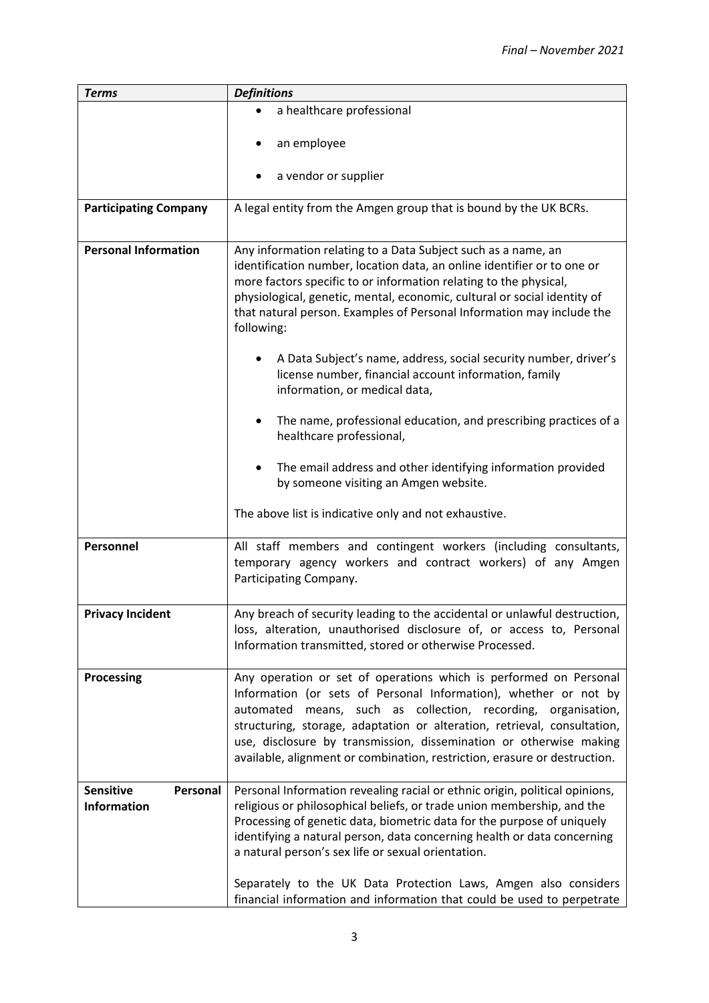| <b>Terms</b>                                       | <b>Definitions</b>                                                                                                                                                                                                                                                                                                                                                                                                                                                                                                                                  |  |  |  |  |
|----------------------------------------------------|-----------------------------------------------------------------------------------------------------------------------------------------------------------------------------------------------------------------------------------------------------------------------------------------------------------------------------------------------------------------------------------------------------------------------------------------------------------------------------------------------------------------------------------------------------|--|--|--|--|
|                                                    | a healthcare professional                                                                                                                                                                                                                                                                                                                                                                                                                                                                                                                           |  |  |  |  |
|                                                    | an employee                                                                                                                                                                                                                                                                                                                                                                                                                                                                                                                                         |  |  |  |  |
|                                                    | a vendor or supplier<br>٠                                                                                                                                                                                                                                                                                                                                                                                                                                                                                                                           |  |  |  |  |
| <b>Participating Company</b>                       | A legal entity from the Amgen group that is bound by the UK BCRs.                                                                                                                                                                                                                                                                                                                                                                                                                                                                                   |  |  |  |  |
| <b>Personal Information</b>                        | Any information relating to a Data Subject such as a name, an<br>identification number, location data, an online identifier or to one or<br>more factors specific to or information relating to the physical,<br>physiological, genetic, mental, economic, cultural or social identity of<br>that natural person. Examples of Personal Information may include the<br>following:<br>A Data Subject's name, address, social security number, driver's<br>٠<br>license number, financial account information, family<br>information, or medical data, |  |  |  |  |
|                                                    | The name, professional education, and prescribing practices of a<br>$\bullet$<br>healthcare professional,<br>The email address and other identifying information provided                                                                                                                                                                                                                                                                                                                                                                           |  |  |  |  |
|                                                    | by someone visiting an Amgen website.                                                                                                                                                                                                                                                                                                                                                                                                                                                                                                               |  |  |  |  |
|                                                    | The above list is indicative only and not exhaustive.                                                                                                                                                                                                                                                                                                                                                                                                                                                                                               |  |  |  |  |
| Personnel                                          | All staff members and contingent workers (including consultants,<br>temporary agency workers and contract workers) of any Amgen<br>Participating Company.                                                                                                                                                                                                                                                                                                                                                                                           |  |  |  |  |
| <b>Privacy Incident</b>                            | Any breach of security leading to the accidental or unlawful destruction,<br>loss, alteration, unauthorised disclosure of, or access to, Personal<br>Information transmitted, stored or otherwise Processed.                                                                                                                                                                                                                                                                                                                                        |  |  |  |  |
| Processing                                         | Any operation or set of operations which is performed on Personal<br>Information (or sets of Personal Information), whether or not by<br>means, such as collection, recording, organisation,<br>automated<br>structuring, storage, adaptation or alteration, retrieval, consultation,<br>use, disclosure by transmission, dissemination or otherwise making<br>available, alignment or combination, restriction, erasure or destruction.                                                                                                            |  |  |  |  |
| <b>Sensitive</b><br>Personal<br><b>Information</b> | Personal Information revealing racial or ethnic origin, political opinions,<br>religious or philosophical beliefs, or trade union membership, and the<br>Processing of genetic data, biometric data for the purpose of uniquely<br>identifying a natural person, data concerning health or data concerning<br>a natural person's sex life or sexual orientation.<br>Separately to the UK Data Protection Laws, Amgen also considers                                                                                                                 |  |  |  |  |
|                                                    | financial information and information that could be used to perpetrate                                                                                                                                                                                                                                                                                                                                                                                                                                                                              |  |  |  |  |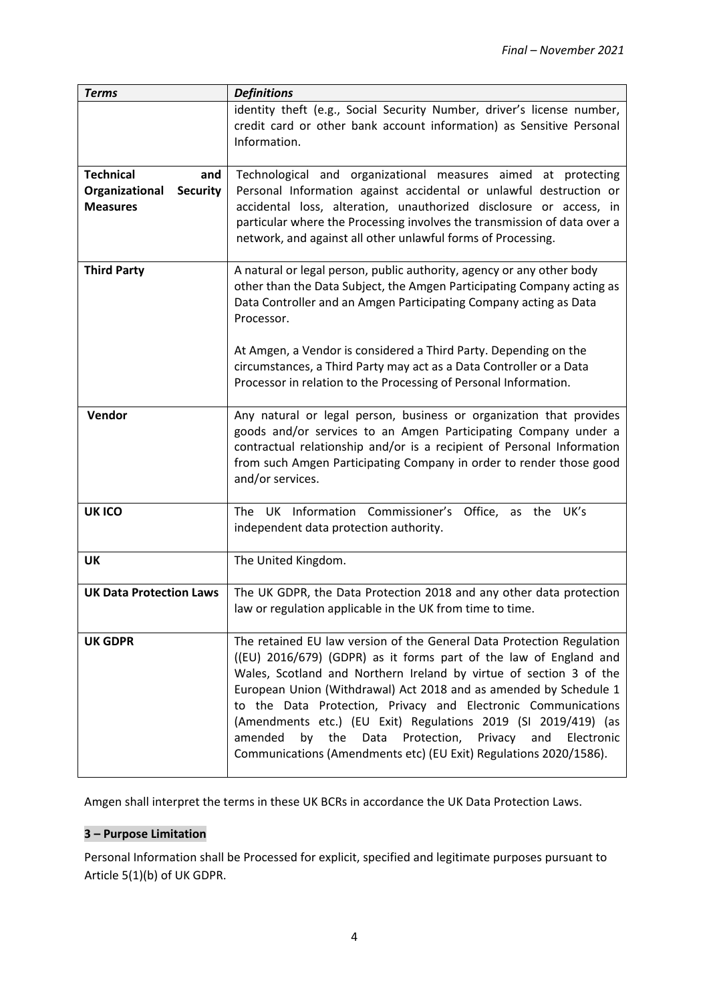| <b>Terms</b>                      | <b>Definitions</b>                                                                                                                              |  |  |  |
|-----------------------------------|-------------------------------------------------------------------------------------------------------------------------------------------------|--|--|--|
|                                   | identity theft (e.g., Social Security Number, driver's license number,                                                                          |  |  |  |
|                                   | credit card or other bank account information) as Sensitive Personal                                                                            |  |  |  |
|                                   | Information.                                                                                                                                    |  |  |  |
|                                   |                                                                                                                                                 |  |  |  |
| <b>Technical</b><br>and           | Technological and organizational measures aimed at protecting                                                                                   |  |  |  |
| <b>Security</b><br>Organizational | Personal Information against accidental or unlawful destruction or                                                                              |  |  |  |
| <b>Measures</b>                   | accidental loss, alteration, unauthorized disclosure or access, in                                                                              |  |  |  |
|                                   | particular where the Processing involves the transmission of data over a                                                                        |  |  |  |
|                                   | network, and against all other unlawful forms of Processing.                                                                                    |  |  |  |
|                                   |                                                                                                                                                 |  |  |  |
| <b>Third Party</b>                | A natural or legal person, public authority, agency or any other body<br>other than the Data Subject, the Amgen Participating Company acting as |  |  |  |
|                                   | Data Controller and an Amgen Participating Company acting as Data                                                                               |  |  |  |
|                                   | Processor.                                                                                                                                      |  |  |  |
|                                   |                                                                                                                                                 |  |  |  |
|                                   | At Amgen, a Vendor is considered a Third Party. Depending on the                                                                                |  |  |  |
|                                   | circumstances, a Third Party may act as a Data Controller or a Data                                                                             |  |  |  |
|                                   | Processor in relation to the Processing of Personal Information.                                                                                |  |  |  |
|                                   |                                                                                                                                                 |  |  |  |
| Vendor                            | Any natural or legal person, business or organization that provides                                                                             |  |  |  |
|                                   | goods and/or services to an Amgen Participating Company under a                                                                                 |  |  |  |
|                                   | contractual relationship and/or is a recipient of Personal Information                                                                          |  |  |  |
|                                   | from such Amgen Participating Company in order to render those good                                                                             |  |  |  |
|                                   | and/or services.                                                                                                                                |  |  |  |
| <b>UK ICO</b>                     | The UK Information Commissioner's Office, as the UK's                                                                                           |  |  |  |
|                                   | independent data protection authority.                                                                                                          |  |  |  |
|                                   |                                                                                                                                                 |  |  |  |
| UK                                | The United Kingdom.                                                                                                                             |  |  |  |
|                                   |                                                                                                                                                 |  |  |  |
| <b>UK Data Protection Laws</b>    | The UK GDPR, the Data Protection 2018 and any other data protection                                                                             |  |  |  |
|                                   | law or regulation applicable in the UK from time to time.                                                                                       |  |  |  |
|                                   |                                                                                                                                                 |  |  |  |
| <b>UK GDPR</b>                    | The retained EU law version of the General Data Protection Regulation                                                                           |  |  |  |
|                                   | ((EU) 2016/679) (GDPR) as it forms part of the law of England and                                                                               |  |  |  |
|                                   | Wales, Scotland and Northern Ireland by virtue of section 3 of the<br>European Union (Withdrawal) Act 2018 and as amended by Schedule 1         |  |  |  |
|                                   | to the Data Protection, Privacy and Electronic Communications                                                                                   |  |  |  |
|                                   | (Amendments etc.) (EU Exit) Regulations 2019 (SI 2019/419) (as                                                                                  |  |  |  |
|                                   | the<br>Protection,<br>Electronic<br>amended<br>by<br>Data<br>Privacy<br>and                                                                     |  |  |  |
|                                   | Communications (Amendments etc) (EU Exit) Regulations 2020/1586).                                                                               |  |  |  |
|                                   |                                                                                                                                                 |  |  |  |

Amgen shall interpret the terms in these UK BCRs in accordance the UK Data Protection Laws.

## **3 – Purpose Limitation**

Personal Information shall be Processed for explicit, specified and legitimate purposes pursuant to Article 5(1)(b) of UK GDPR.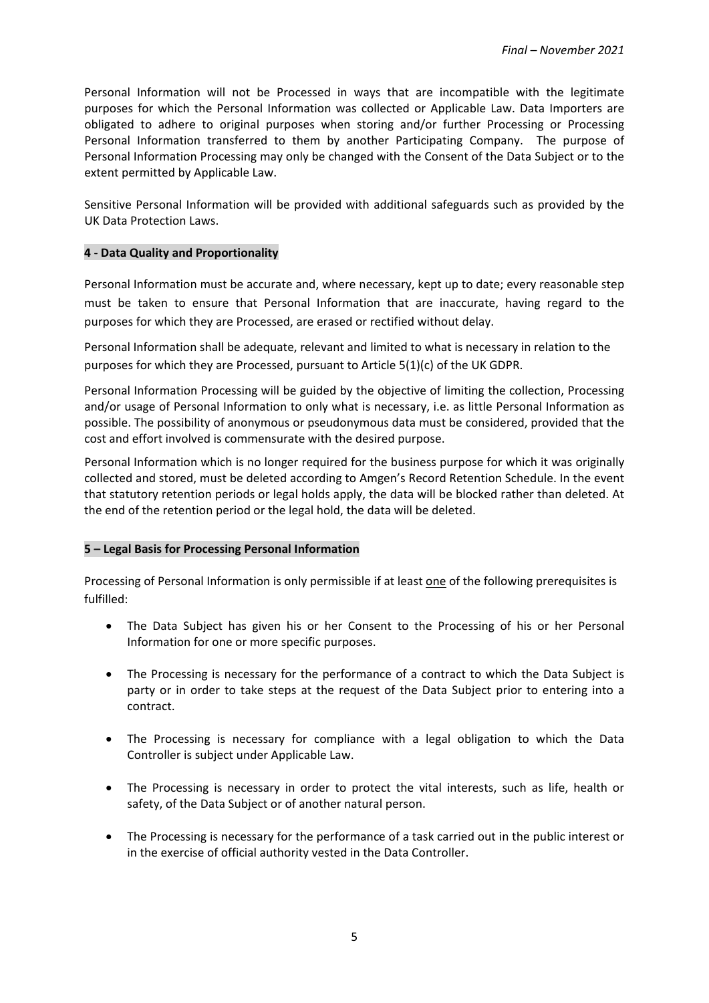Personal Information will not be Processed in ways that are incompatible with the legitimate purposes for which the Personal Information was collected or Applicable Law. Data Importers are obligated to adhere to original purposes when storing and/or further Processing or Processing Personal Information transferred to them by another Participating Company. The purpose of Personal Information Processing may only be changed with the Consent of the Data Subject or to the extent permitted by Applicable Law.

Sensitive Personal Information will be provided with additional safeguards such as provided by the UK Data Protection Laws.

#### **4 - Data Quality and Proportionality**

Personal Information must be accurate and, where necessary, kept up to date; every reasonable step must be taken to ensure that Personal Information that are inaccurate, having regard to the purposes for which they are Processed, are erased or rectified without delay.

Personal Information shall be adequate, relevant and limited to what is necessary in relation to the purposes for which they are Processed, pursuant to Article 5(1)(c) of the UK GDPR.

Personal Information Processing will be guided by the objective of limiting the collection, Processing and/or usage of Personal Information to only what is necessary, i.e. as little Personal Information as possible. The possibility of anonymous or pseudonymous data must be considered, provided that the cost and effort involved is commensurate with the desired purpose.

Personal Information which is no longer required for the business purpose for which it was originally collected and stored, must be deleted according to Amgen's Record Retention Schedule. In the event that statutory retention periods or legal holds apply, the data will be blocked rather than deleted. At the end of the retention period or the legal hold, the data will be deleted.

#### **5 – Legal Basis for Processing Personal Information**

Processing of Personal Information is only permissible if at least one of the following prerequisites is fulfilled:

- The Data Subject has given his or her Consent to the Processing of his or her Personal Information for one or more specific purposes.
- The Processing is necessary for the performance of a contract to which the Data Subject is party or in order to take steps at the request of the Data Subject prior to entering into a contract.
- The Processing is necessary for compliance with a legal obligation to which the Data Controller is subject under Applicable Law.
- The Processing is necessary in order to protect the vital interests, such as life, health or safety, of the Data Subject or of another natural person.
- The Processing is necessary for the performance of a task carried out in the public interest or in the exercise of official authority vested in the Data Controller.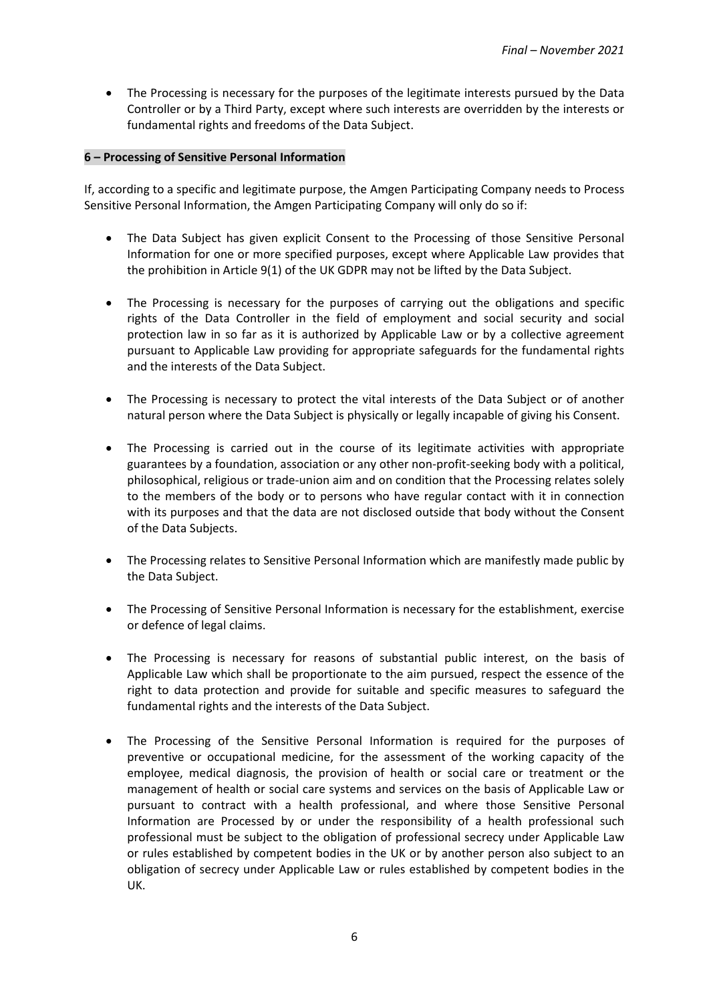• The Processing is necessary for the purposes of the legitimate interests pursued by the Data Controller or by a Third Party, except where such interests are overridden by the interests or fundamental rights and freedoms of the Data Subject.

#### **6 – Processing of Sensitive Personal Information**

If, according to a specific and legitimate purpose, the Amgen Participating Company needs to Process Sensitive Personal Information, the Amgen Participating Company will only do so if:

- The Data Subject has given explicit Consent to the Processing of those Sensitive Personal Information for one or more specified purposes, except where Applicable Law provides that the prohibition in Article 9(1) of the UK GDPR may not be lifted by the Data Subject.
- The Processing is necessary for the purposes of carrying out the obligations and specific rights of the Data Controller in the field of employment and social security and social protection law in so far as it is authorized by Applicable Law or by a collective agreement pursuant to Applicable Law providing for appropriate safeguards for the fundamental rights and the interests of the Data Subject.
- The Processing is necessary to protect the vital interests of the Data Subject or of another natural person where the Data Subject is physically or legally incapable of giving his Consent.
- The Processing is carried out in the course of its legitimate activities with appropriate guarantees by a foundation, association or any other non-profit-seeking body with a political, philosophical, religious or trade-union aim and on condition that the Processing relates solely to the members of the body or to persons who have regular contact with it in connection with its purposes and that the data are not disclosed outside that body without the Consent of the Data Subjects.
- The Processing relates to Sensitive Personal Information which are manifestly made public by the Data Subject.
- The Processing of Sensitive Personal Information is necessary for the establishment, exercise or defence of legal claims.
- The Processing is necessary for reasons of substantial public interest, on the basis of Applicable Law which shall be proportionate to the aim pursued, respect the essence of the right to data protection and provide for suitable and specific measures to safeguard the fundamental rights and the interests of the Data Subject.
- The Processing of the Sensitive Personal Information is required for the purposes of preventive or occupational medicine, for the assessment of the working capacity of the employee, medical diagnosis, the provision of health or social care or treatment or the management of health or social care systems and services on the basis of Applicable Law or pursuant to contract with a health professional, and where those Sensitive Personal Information are Processed by or under the responsibility of a health professional such professional must be subject to the obligation of professional secrecy under Applicable Law or rules established by competent bodies in the UK or by another person also subject to an obligation of secrecy under Applicable Law or rules established by competent bodies in the UK.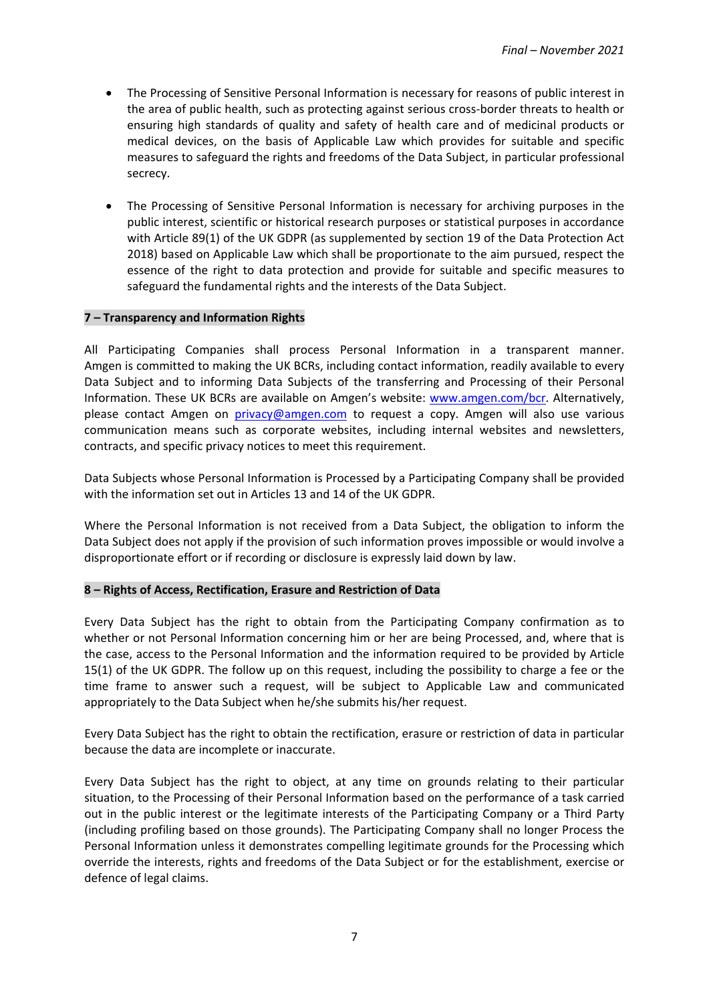- The Processing of Sensitive Personal Information is necessary for reasons of public interest in the area of public health, such as protecting against serious cross-border threats to health or ensuring high standards of quality and safety of health care and of medicinal products or medical devices, on the basis of Applicable Law which provides for suitable and specific measures to safeguard the rights and freedoms of the Data Subject, in particular professional secrecy.
- The Processing of Sensitive Personal Information is necessary for archiving purposes in the public interest, scientific or historical research purposes or statistical purposes in accordance with Article 89(1) of the UK GDPR (as supplemented by section 19 of the Data Protection Act 2018) based on Applicable Law which shall be proportionate to the aim pursued, respect the essence of the right to data protection and provide for suitable and specific measures to safeguard the fundamental rights and the interests of the Data Subject.

#### **7 – Transparency and Information Rights**

All Participating Companies shall process Personal Information in a transparent manner. Amgen is committed to making the UK BCRs, including contact information, readily available to every Data Subject and to informing Data Subjects of the transferring and Processing of their Personal Information. These UK BCRs are available on Amgen's website: [www.amgen.com/bcr.](http://www.amgen.com/bcr) Alternatively, please contact Amgen on [privacy@amgen.com](mailto:privacy@amgen.com) to request a copy. Amgen will also use various communication means such as corporate websites, including internal websites and newsletters, contracts, and specific privacy notices to meet this requirement.

Data Subjects whose Personal Information is Processed by a Participating Company shall be provided with the information set out in Articles 13 and 14 of the UK GDPR.

Where the Personal Information is not received from a Data Subject, the obligation to inform the Data Subject does not apply if the provision of such information proves impossible or would involve a disproportionate effort or if recording or disclosure is expressly laid down by law.

#### **8 – Rights of Access, Rectification, Erasure and Restriction of Data**

Every Data Subject has the right to obtain from the Participating Company confirmation as to whether or not Personal Information concerning him or her are being Processed, and, where that is the case, access to the Personal Information and the information required to be provided by Article 15(1) of the UK GDPR. The follow up on this request, including the possibility to charge a fee or the time frame to answer such a request, will be subject to Applicable Law and communicated appropriately to the Data Subject when he/she submits his/her request.

Every Data Subject has the right to obtain the rectification, erasure or restriction of data in particular because the data are incomplete or inaccurate.

Every Data Subject has the right to object, at any time on grounds relating to their particular situation, to the Processing of their Personal Information based on the performance of a task carried out in the public interest or the legitimate interests of the Participating Company or a Third Party (including profiling based on those grounds). The Participating Company shall no longer Process the Personal Information unless it demonstrates compelling legitimate grounds for the Processing which override the interests, rights and freedoms of the Data Subject or for the establishment, exercise or defence of legal claims.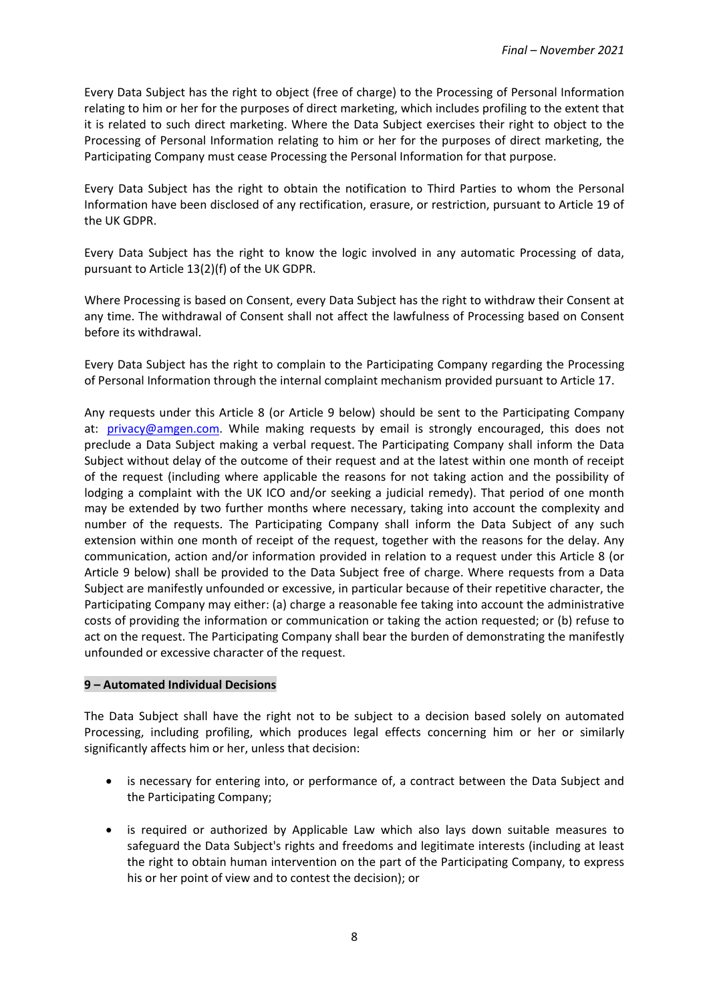Every Data Subject has the right to object (free of charge) to the Processing of Personal Information relating to him or her for the purposes of direct marketing, which includes profiling to the extent that it is related to such direct marketing. Where the Data Subject exercises their right to object to the Processing of Personal Information relating to him or her for the purposes of direct marketing, the Participating Company must cease Processing the Personal Information for that purpose.

Every Data Subject has the right to obtain the notification to Third Parties to whom the Personal Information have been disclosed of any rectification, erasure, or restriction, pursuant to Article 19 of the UK GDPR.

Every Data Subject has the right to know the logic involved in any automatic Processing of data, pursuant to Article 13(2)(f) of the UK GDPR.

Where Processing is based on Consent, every Data Subject has the right to withdraw their Consent at any time. The withdrawal of Consent shall not affect the lawfulness of Processing based on Consent before its withdrawal.

Every Data Subject has the right to complain to the Participating Company regarding the Processing of Personal Information through the internal complaint mechanism provided pursuant to Article 17.

Any requests under this Article 8 (or Article 9 below) should be sent to the Participating Company at: [privacy@amgen.com.](mailto:privacy@amgen.com) While making requests by email is strongly encouraged, this does not preclude a Data Subject making a verbal request. The Participating Company shall inform the Data Subject without delay of the outcome of their request and at the latest within one month of receipt of the request (including where applicable the reasons for not taking action and the possibility of lodging a complaint with the UK ICO and/or seeking a judicial remedy). That period of one month may be extended by two further months where necessary, taking into account the complexity and number of the requests. The Participating Company shall inform the Data Subject of any such extension within one month of receipt of the request, together with the reasons for the delay. Any communication, action and/or information provided in relation to a request under this Article 8 (or Article 9 below) shall be provided to the Data Subject free of charge. Where requests from a Data Subject are manifestly unfounded or excessive, in particular because of their repetitive character, the Participating Company may either: (a) charge a reasonable fee taking into account the administrative costs of providing the information or communication or taking the action requested; or (b) refuse to act on the request. The Participating Company shall bear the burden of demonstrating the manifestly unfounded or excessive character of the request.

#### **9 – Automated Individual Decisions**

The Data Subject shall have the right not to be subject to a decision based solely on automated Processing, including profiling, which produces legal effects concerning him or her or similarly significantly affects him or her, unless that decision:

- is necessary for entering into, or performance of, a contract between the Data Subject and the Participating Company;
- is required or authorized by Applicable Law which also lays down suitable measures to safeguard the Data Subject's rights and freedoms and legitimate interests (including at least the right to obtain human intervention on the part of the Participating Company, to express his or her point of view and to contest the decision); or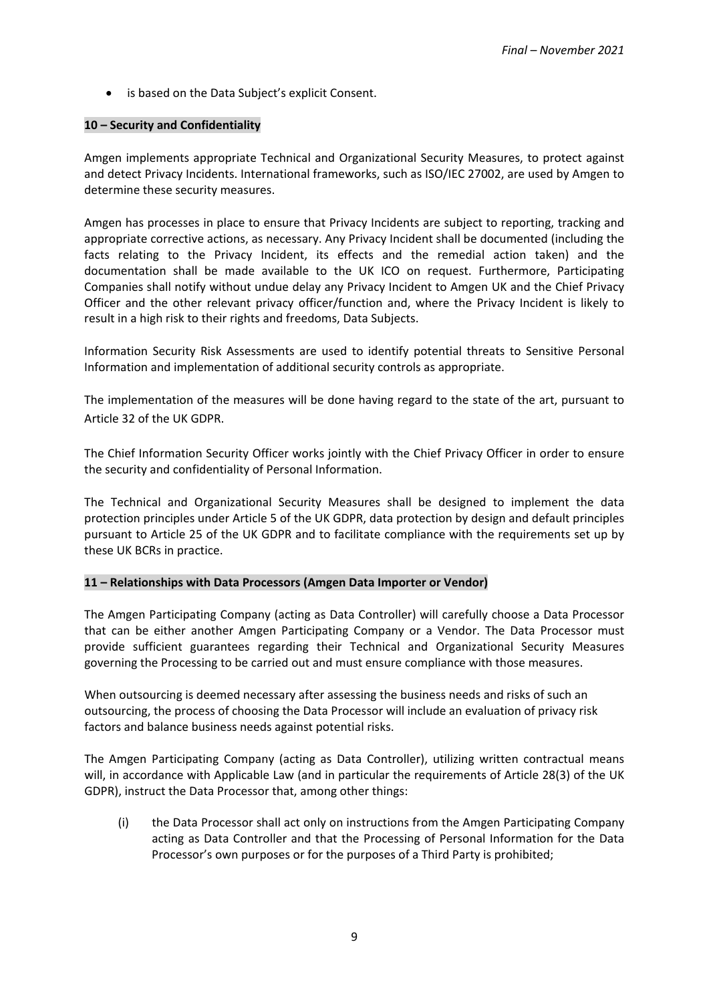• is based on the Data Subject's explicit Consent.

#### **10 – Security and Confidentiality**

Amgen implements appropriate Technical and Organizational Security Measures, to protect against and detect Privacy Incidents. International frameworks, such as ISO/IEC 27002, are used by Amgen to determine these security measures.

Amgen has processes in place to ensure that Privacy Incidents are subject to reporting, tracking and appropriate corrective actions, as necessary. Any Privacy Incident shall be documented (including the facts relating to the Privacy Incident, its effects and the remedial action taken) and the documentation shall be made available to the UK ICO on request. Furthermore, Participating Companies shall notify without undue delay any Privacy Incident to Amgen UK and the Chief Privacy Officer and the other relevant privacy officer/function and, where the Privacy Incident is likely to result in a high risk to their rights and freedoms, Data Subjects.

Information Security Risk Assessments are used to identify potential threats to Sensitive Personal Information and implementation of additional security controls as appropriate.

The implementation of the measures will be done having regard to the state of the art, pursuant to Article 32 of the UK GDPR.

The Chief Information Security Officer works jointly with the Chief Privacy Officer in order to ensure the security and confidentiality of Personal Information.

The Technical and Organizational Security Measures shall be designed to implement the data protection principles under Article 5 of the UK GDPR, data protection by design and default principles pursuant to Article 25 of the UK GDPR and to facilitate compliance with the requirements set up by these UK BCRs in practice.

#### **11 – Relationships with Data Processors (Amgen Data Importer or Vendor)**

The Amgen Participating Company (acting as Data Controller) will carefully choose a Data Processor that can be either another Amgen Participating Company or a Vendor. The Data Processor must provide sufficient guarantees regarding their Technical and Organizational Security Measures governing the Processing to be carried out and must ensure compliance with those measures.

When outsourcing is deemed necessary after assessing the business needs and risks of such an outsourcing, the process of choosing the Data Processor will include an evaluation of privacy risk factors and balance business needs against potential risks.

The Amgen Participating Company (acting as Data Controller), utilizing written contractual means will, in accordance with Applicable Law (and in particular the requirements of Article 28(3) of the UK GDPR), instruct the Data Processor that, among other things:

(i) the Data Processor shall act only on instructions from the Amgen Participating Company acting as Data Controller and that the Processing of Personal Information for the Data Processor's own purposes or for the purposes of a Third Party is prohibited;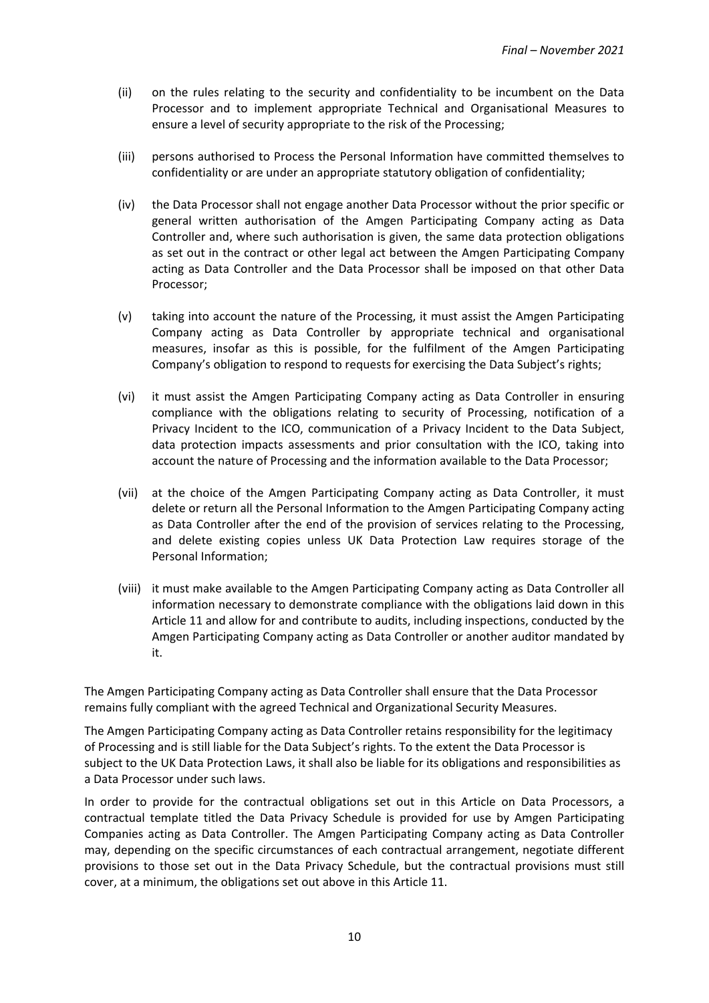- (ii) on the rules relating to the security and confidentiality to be incumbent on the Data Processor and to implement appropriate Technical and Organisational Measures to ensure a level of security appropriate to the risk of the Processing;
- (iii) persons authorised to Process the Personal Information have committed themselves to confidentiality or are under an appropriate statutory obligation of confidentiality;
- (iv) the Data Processor shall not engage another Data Processor without the prior specific or general written authorisation of the Amgen Participating Company acting as Data Controller and, where such authorisation is given, the same data protection obligations as set out in the contract or other legal act between the Amgen Participating Company acting as Data Controller and the Data Processor shall be imposed on that other Data Processor;
- (v) taking into account the nature of the Processing, it must assist the Amgen Participating Company acting as Data Controller by appropriate technical and organisational measures, insofar as this is possible, for the fulfilment of the Amgen Participating Company's obligation to respond to requests for exercising the Data Subject's rights;
- (vi) it must assist the Amgen Participating Company acting as Data Controller in ensuring compliance with the obligations relating to security of Processing, notification of a Privacy Incident to the ICO, communication of a Privacy Incident to the Data Subject, data protection impacts assessments and prior consultation with the ICO, taking into account the nature of Processing and the information available to the Data Processor;
- (vii) at the choice of the Amgen Participating Company acting as Data Controller, it must delete or return all the Personal Information to the Amgen Participating Company acting as Data Controller after the end of the provision of services relating to the Processing, and delete existing copies unless UK Data Protection Law requires storage of the Personal Information;
- (viii) it must make available to the Amgen Participating Company acting as Data Controller all information necessary to demonstrate compliance with the obligations laid down in this Article 11 and allow for and contribute to audits, including inspections, conducted by the Amgen Participating Company acting as Data Controller or another auditor mandated by it.

The Amgen Participating Company acting as Data Controller shall ensure that the Data Processor remains fully compliant with the agreed Technical and Organizational Security Measures.

The Amgen Participating Company acting as Data Controller retains responsibility for the legitimacy of Processing and is still liable for the Data Subject's rights. To the extent the Data Processor is subject to the UK Data Protection Laws, it shall also be liable for its obligations and responsibilities as a Data Processor under such laws.

In order to provide for the contractual obligations set out in this Article on Data Processors, a contractual template titled the Data Privacy Schedule is provided for use by Amgen Participating Companies acting as Data Controller. The Amgen Participating Company acting as Data Controller may, depending on the specific circumstances of each contractual arrangement, negotiate different provisions to those set out in the Data Privacy Schedule, but the contractual provisions must still cover, at a minimum, the obligations set out above in this Article 11.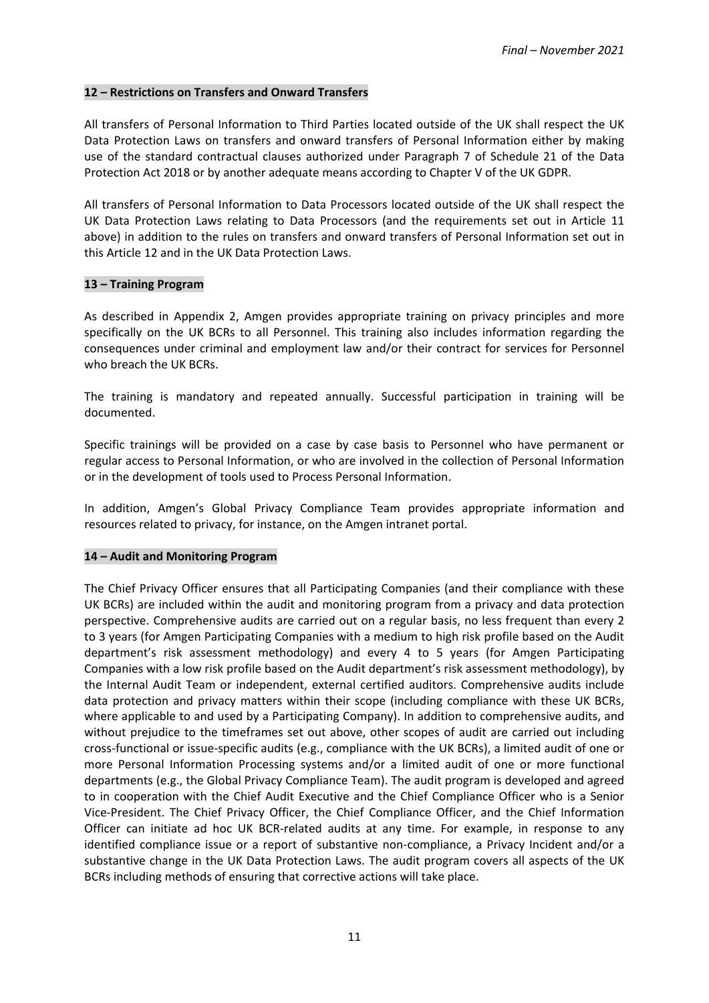#### **12 – Restrictions on Transfers and Onward Transfers**

All transfers of Personal Information to Third Parties located outside of the UK shall respect the UK Data Protection Laws on transfers and onward transfers of Personal Information either by making use of the standard contractual clauses authorized under Paragraph 7 of Schedule 21 of the Data Protection Act 2018 or by another adequate means according to Chapter V of the UK GDPR.

All transfers of Personal Information to Data Processors located outside of the UK shall respect the UK Data Protection Laws relating to Data Processors (and the requirements set out in Article 11 above) in addition to the rules on transfers and onward transfers of Personal Information set out in this Article 12 and in the UK Data Protection Laws.

#### **13 – Training Program**

As described in Appendix 2, Amgen provides appropriate training on privacy principles and more specifically on the UK BCRs to all Personnel. This training also includes information regarding the consequences under criminal and employment law and/or their contract for services for Personnel who breach the UK BCRs.

The training is mandatory and repeated annually. Successful participation in training will be documented.

Specific trainings will be provided on a case by case basis to Personnel who have permanent or regular access to Personal Information, or who are involved in the collection of Personal Information or in the development of tools used to Process Personal Information.

In addition, Amgen's Global Privacy Compliance Team provides appropriate information and resources related to privacy, for instance, on the Amgen intranet portal.

#### **14 – Audit and Monitoring Program**

The Chief Privacy Officer ensures that all Participating Companies (and their compliance with these UK BCRs) are included within the audit and monitoring program from a privacy and data protection perspective. Comprehensive audits are carried out on a regular basis, no less frequent than every 2 to 3 years (for Amgen Participating Companies with a medium to high risk profile based on the Audit department's risk assessment methodology) and every 4 to 5 years (for Amgen Participating Companies with a low risk profile based on the Audit department's risk assessment methodology), by the Internal Audit Team or independent, external certified auditors. Comprehensive audits include data protection and privacy matters within their scope (including compliance with these UK BCRs, where applicable to and used by a Participating Company). In addition to comprehensive audits, and without prejudice to the timeframes set out above, other scopes of audit are carried out including cross-functional or issue-specific audits (e.g., compliance with the UK BCRs), a limited audit of one or more Personal Information Processing systems and/or a limited audit of one or more functional departments (e.g., the Global Privacy Compliance Team). The audit program is developed and agreed to in cooperation with the Chief Audit Executive and the Chief Compliance Officer who is a Senior Vice-President. The Chief Privacy Officer, the Chief Compliance Officer, and the Chief Information Officer can initiate ad hoc UK BCR-related audits at any time. For example, in response to any identified compliance issue or a report of substantive non-compliance, a Privacy Incident and/or a substantive change in the UK Data Protection Laws. The audit program covers all aspects of the UK BCRs including methods of ensuring that corrective actions will take place.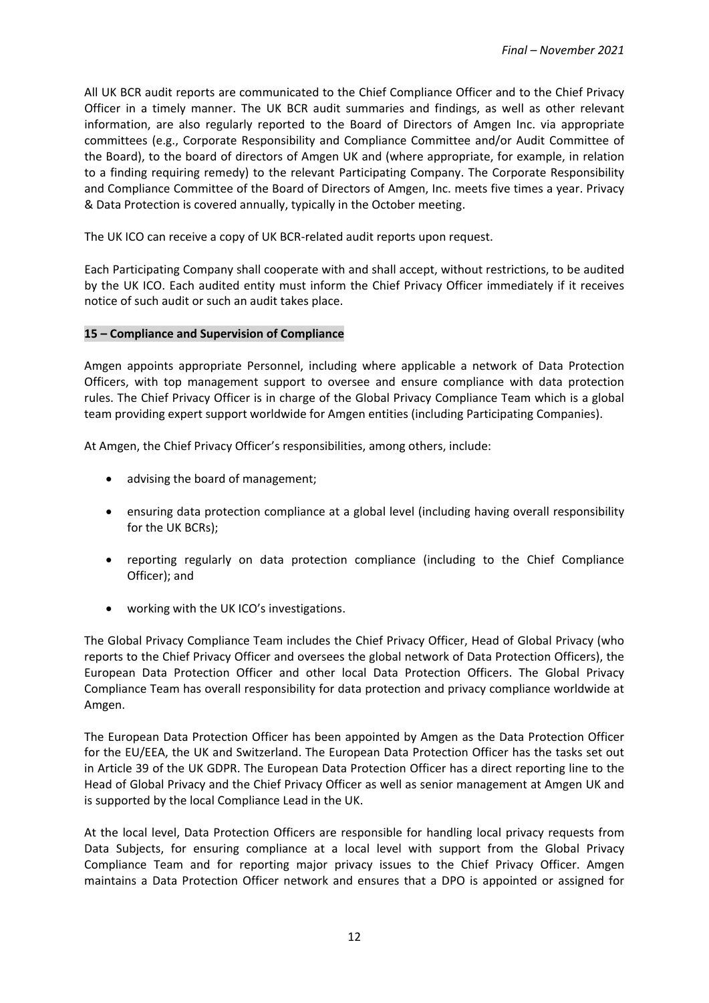All UK BCR audit reports are communicated to the Chief Compliance Officer and to the Chief Privacy Officer in a timely manner. The UK BCR audit summaries and findings, as well as other relevant information, are also regularly reported to the Board of Directors of Amgen Inc. via appropriate committees (e.g., Corporate Responsibility and Compliance Committee and/or Audit Committee of the Board), to the board of directors of Amgen UK and (where appropriate, for example, in relation to a finding requiring remedy) to the relevant Participating Company. The Corporate Responsibility and Compliance Committee of the Board of Directors of Amgen, Inc. meets five times a year. Privacy & Data Protection is covered annually, typically in the October meeting.

The UK ICO can receive a copy of UK BCR-related audit reports upon request.

Each Participating Company shall cooperate with and shall accept, without restrictions, to be audited by the UK ICO. Each audited entity must inform the Chief Privacy Officer immediately if it receives notice of such audit or such an audit takes place.

#### **15 – Compliance and Supervision of Compliance**

Amgen appoints appropriate Personnel, including where applicable a network of Data Protection Officers, with top management support to oversee and ensure compliance with data protection rules. The Chief Privacy Officer is in charge of the Global Privacy Compliance Team which is a global team providing expert support worldwide for Amgen entities (including Participating Companies).

At Amgen, the Chief Privacy Officer's responsibilities, among others, include:

- advising the board of management;
- ensuring data protection compliance at a global level (including having overall responsibility for the UK BCRs);
- reporting regularly on data protection compliance (including to the Chief Compliance Officer); and
- working with the UK ICO's investigations.

The Global Privacy Compliance Team includes the Chief Privacy Officer, Head of Global Privacy (who reports to the Chief Privacy Officer and oversees the global network of Data Protection Officers), the European Data Protection Officer and other local Data Protection Officers. The Global Privacy Compliance Team has overall responsibility for data protection and privacy compliance worldwide at Amgen.

The European Data Protection Officer has been appointed by Amgen as the Data Protection Officer for the EU/EEA, the UK and Switzerland. The European Data Protection Officer has the tasks set out in Article 39 of the UK GDPR. The European Data Protection Officer has a direct reporting line to the Head of Global Privacy and the Chief Privacy Officer as well as senior management at Amgen UK and is supported by the local Compliance Lead in the UK.

At the local level, Data Protection Officers are responsible for handling local privacy requests from Data Subjects, for ensuring compliance at a local level with support from the Global Privacy Compliance Team and for reporting major privacy issues to the Chief Privacy Officer. Amgen maintains a Data Protection Officer network and ensures that a DPO is appointed or assigned for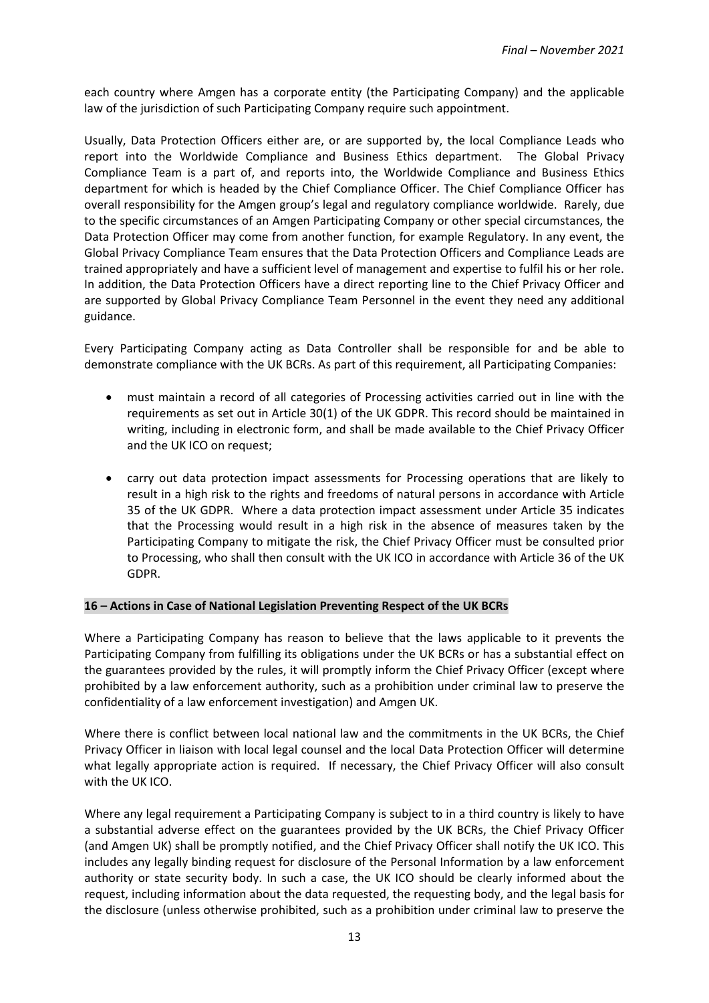each country where Amgen has a corporate entity (the Participating Company) and the applicable law of the jurisdiction of such Participating Company require such appointment.

Usually, Data Protection Officers either are, or are supported by, the local Compliance Leads who report into the Worldwide Compliance and Business Ethics department. The Global Privacy Compliance Team is a part of, and reports into, the Worldwide Compliance and Business Ethics department for which is headed by the Chief Compliance Officer. The Chief Compliance Officer has overall responsibility for the Amgen group's legal and regulatory compliance worldwide. Rarely, due to the specific circumstances of an Amgen Participating Company or other special circumstances, the Data Protection Officer may come from another function, for example Regulatory. In any event, the Global Privacy Compliance Team ensures that the Data Protection Officers and Compliance Leads are trained appropriately and have a sufficient level of management and expertise to fulfil his or her role. In addition, the Data Protection Officers have a direct reporting line to the Chief Privacy Officer and are supported by Global Privacy Compliance Team Personnel in the event they need any additional guidance.

Every Participating Company acting as Data Controller shall be responsible for and be able to demonstrate compliance with the UK BCRs. As part of this requirement, all Participating Companies:

- must maintain a record of all categories of Processing activities carried out in line with the requirements as set out in Article 30(1) of the UK GDPR. This record should be maintained in writing, including in electronic form, and shall be made available to the Chief Privacy Officer and the UK ICO on request;
- carry out data protection impact assessments for Processing operations that are likely to result in a high risk to the rights and freedoms of natural persons in accordance with Article 35 of the UK GDPR. Where a data protection impact assessment under Article 35 indicates that the Processing would result in a high risk in the absence of measures taken by the Participating Company to mitigate the risk, the Chief Privacy Officer must be consulted prior to Processing, who shall then consult with the UK ICO in accordance with Article 36 of the UK GDPR.

#### **16 – Actions in Case of National Legislation Preventing Respect of the UK BCRs**

Where a Participating Company has reason to believe that the laws applicable to it prevents the Participating Company from fulfilling its obligations under the UK BCRs or has a substantial effect on the guarantees provided by the rules, it will promptly inform the Chief Privacy Officer (except where prohibited by a law enforcement authority, such as a prohibition under criminal law to preserve the confidentiality of a law enforcement investigation) and Amgen UK.

Where there is conflict between local national law and the commitments in the UK BCRs, the Chief Privacy Officer in liaison with local legal counsel and the local Data Protection Officer will determine what legally appropriate action is required. If necessary, the Chief Privacy Officer will also consult with the UK ICO.

Where any legal requirement a Participating Company is subject to in a third country is likely to have a substantial adverse effect on the guarantees provided by the UK BCRs, the Chief Privacy Officer (and Amgen UK) shall be promptly notified, and the Chief Privacy Officer shall notify the UK ICO. This includes any legally binding request for disclosure of the Personal Information by a law enforcement authority or state security body. In such a case, the UK ICO should be clearly informed about the request, including information about the data requested, the requesting body, and the legal basis for the disclosure (unless otherwise prohibited, such as a prohibition under criminal law to preserve the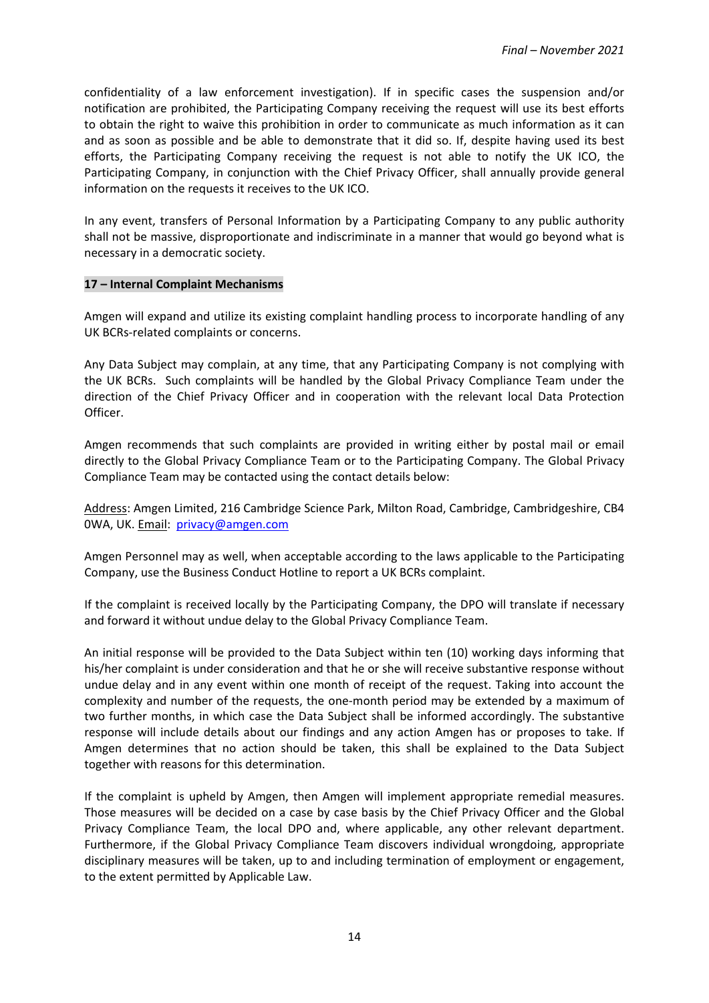confidentiality of a law enforcement investigation). If in specific cases the suspension and/or notification are prohibited, the Participating Company receiving the request will use its best efforts to obtain the right to waive this prohibition in order to communicate as much information as it can and as soon as possible and be able to demonstrate that it did so. If, despite having used its best efforts, the Participating Company receiving the request is not able to notify the UK ICO, the Participating Company, in conjunction with the Chief Privacy Officer, shall annually provide general information on the requests it receives to the UK ICO.

In any event, transfers of Personal Information by a Participating Company to any public authority shall not be massive, disproportionate and indiscriminate in a manner that would go beyond what is necessary in a democratic society.

#### **17 – Internal Complaint Mechanisms**

Amgen will expand and utilize its existing complaint handling process to incorporate handling of any UK BCRs-related complaints or concerns.

Any Data Subject may complain, at any time, that any Participating Company is not complying with the UK BCRs. Such complaints will be handled by the Global Privacy Compliance Team under the direction of the Chief Privacy Officer and in cooperation with the relevant local Data Protection Officer.

Amgen recommends that such complaints are provided in writing either by postal mail or email directly to the Global Privacy Compliance Team or to the Participating Company. The Global Privacy Compliance Team may be contacted using the contact details below:

Address: Amgen Limited, 216 Cambridge Science Park, Milton Road, Cambridge, Cambridgeshire, CB4 0WA, UK. Email: [privacy@amgen.com](mailto:privacy@amgen.com)

Amgen Personnel may as well, when acceptable according to the laws applicable to the Participating Company, use the Business Conduct Hotline to report a UK BCRs complaint.

If the complaint is received locally by the Participating Company, the DPO will translate if necessary and forward it without undue delay to the Global Privacy Compliance Team.

An initial response will be provided to the Data Subject within ten (10) working days informing that his/her complaint is under consideration and that he or she will receive substantive response without undue delay and in any event within one month of receipt of the request. Taking into account the complexity and number of the requests, the one-month period may be extended by a maximum of two further months, in which case the Data Subject shall be informed accordingly. The substantive response will include details about our findings and any action Amgen has or proposes to take. If Amgen determines that no action should be taken, this shall be explained to the Data Subject together with reasons for this determination.

If the complaint is upheld by Amgen, then Amgen will implement appropriate remedial measures. Those measures will be decided on a case by case basis by the Chief Privacy Officer and the Global Privacy Compliance Team, the local DPO and, where applicable, any other relevant department. Furthermore, if the Global Privacy Compliance Team discovers individual wrongdoing, appropriate disciplinary measures will be taken, up to and including termination of employment or engagement, to the extent permitted by Applicable Law.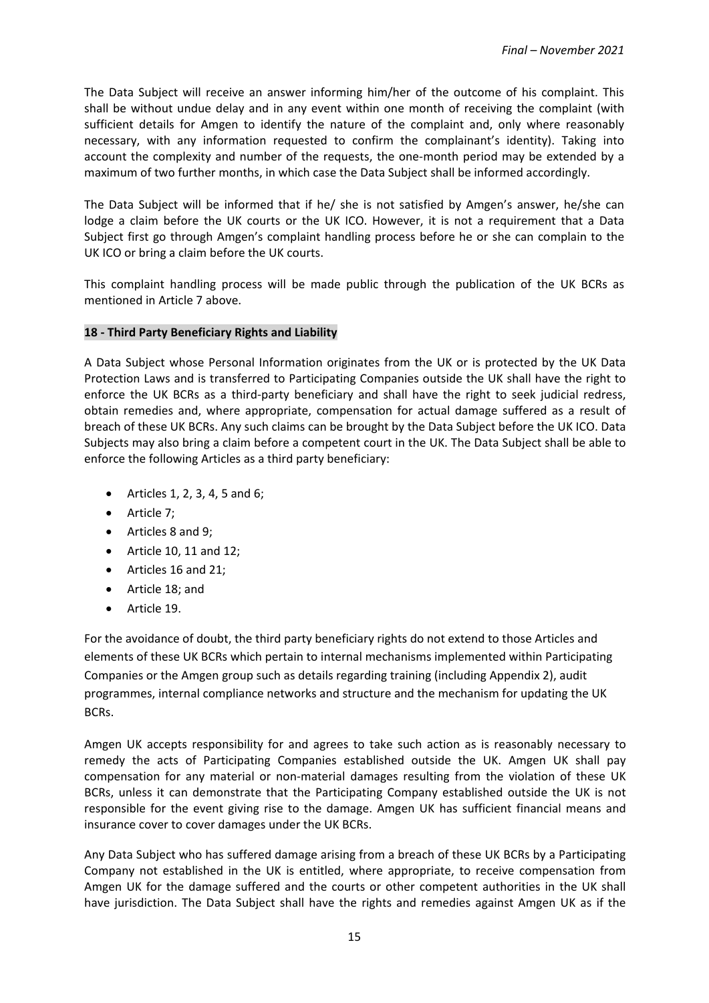The Data Subject will receive an answer informing him/her of the outcome of his complaint. This shall be without undue delay and in any event within one month of receiving the complaint (with sufficient details for Amgen to identify the nature of the complaint and, only where reasonably necessary, with any information requested to confirm the complainant's identity). Taking into account the complexity and number of the requests, the one-month period may be extended by a maximum of two further months, in which case the Data Subject shall be informed accordingly.

The Data Subject will be informed that if he/ she is not satisfied by Amgen's answer, he/she can lodge a claim before the UK courts or the UK ICO. However, it is not a requirement that a Data Subject first go through Amgen's complaint handling process before he or she can complain to the UK ICO or bring a claim before the UK courts.

This complaint handling process will be made public through the publication of the UK BCRs as mentioned in Article 7 above.

#### **18 - Third Party Beneficiary Rights and Liability**

A Data Subject whose Personal Information originates from the UK or is protected by the UK Data Protection Laws and is transferred to Participating Companies outside the UK shall have the right to enforce the UK BCRs as a third-party beneficiary and shall have the right to seek judicial redress, obtain remedies and, where appropriate, compensation for actual damage suffered as a result of breach of these UK BCRs. Any such claims can be brought by the Data Subject before the UK ICO. Data Subjects may also bring a claim before a competent court in the UK. The Data Subject shall be able to enforce the following Articles as a third party beneficiary:

- Articles 1, 2, 3, 4, 5 and 6;
- Article 7;
- Articles 8 and 9;
- Article 10, 11 and 12;
- Articles 16 and 21;
- Article 18; and
- Article 19.

For the avoidance of doubt, the third party beneficiary rights do not extend to those Articles and elements of these UK BCRs which pertain to internal mechanisms implemented within Participating Companies or the Amgen group such as details regarding training (including Appendix 2), audit programmes, internal compliance networks and structure and the mechanism for updating the UK BCRs.

Amgen UK accepts responsibility for and agrees to take such action as is reasonably necessary to remedy the acts of Participating Companies established outside the UK. Amgen UK shall pay compensation for any material or non-material damages resulting from the violation of these UK BCRs, unless it can demonstrate that the Participating Company established outside the UK is not responsible for the event giving rise to the damage. Amgen UK has sufficient financial means and insurance cover to cover damages under the UK BCRs.

Any Data Subject who has suffered damage arising from a breach of these UK BCRs by a Participating Company not established in the UK is entitled, where appropriate, to receive compensation from Amgen UK for the damage suffered and the courts or other competent authorities in the UK shall have jurisdiction. The Data Subject shall have the rights and remedies against Amgen UK as if the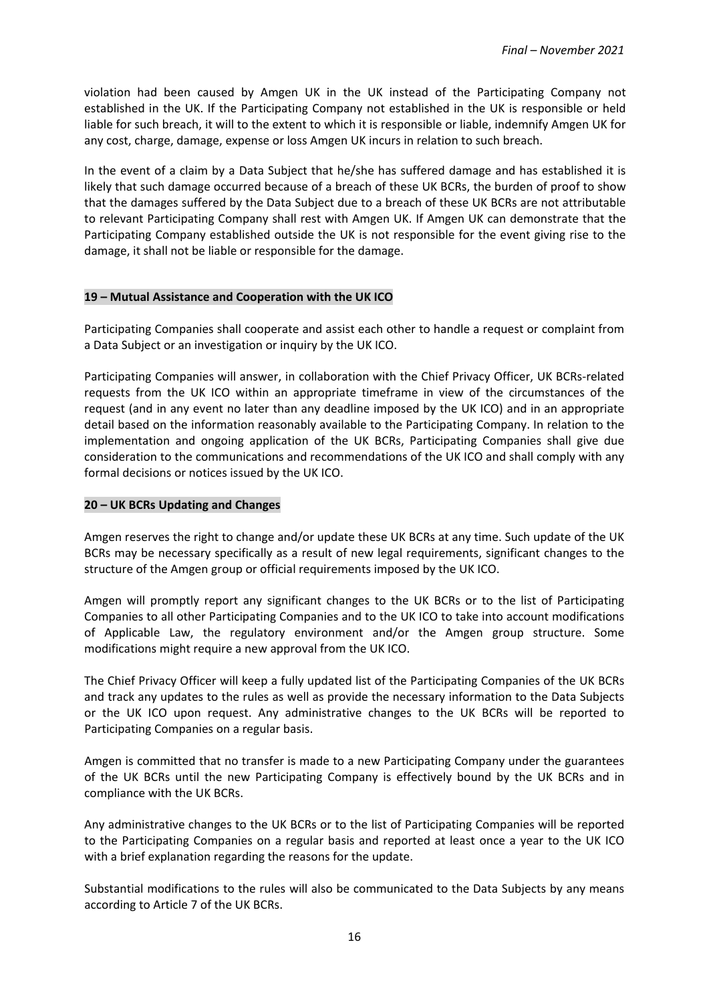violation had been caused by Amgen UK in the UK instead of the Participating Company not established in the UK. If the Participating Company not established in the UK is responsible or held liable for such breach, it will to the extent to which it is responsible or liable, indemnify Amgen UK for any cost, charge, damage, expense or loss Amgen UK incurs in relation to such breach.

In the event of a claim by a Data Subject that he/she has suffered damage and has established it is likely that such damage occurred because of a breach of these UK BCRs, the burden of proof to show that the damages suffered by the Data Subject due to a breach of these UK BCRs are not attributable to relevant Participating Company shall rest with Amgen UK. If Amgen UK can demonstrate that the Participating Company established outside the UK is not responsible for the event giving rise to the damage, it shall not be liable or responsible for the damage.

#### **19 – Mutual Assistance and Cooperation with the UK ICO**

Participating Companies shall cooperate and assist each other to handle a request or complaint from a Data Subject or an investigation or inquiry by the UK ICO.

Participating Companies will answer, in collaboration with the Chief Privacy Officer, UK BCRs-related requests from the UK ICO within an appropriate timeframe in view of the circumstances of the request (and in any event no later than any deadline imposed by the UK ICO) and in an appropriate detail based on the information reasonably available to the Participating Company. In relation to the implementation and ongoing application of the UK BCRs, Participating Companies shall give due consideration to the communications and recommendations of the UK ICO and shall comply with any formal decisions or notices issued by the UK ICO.

#### **20 – UK BCRs Updating and Changes**

Amgen reserves the right to change and/or update these UK BCRs at any time. Such update of the UK BCRs may be necessary specifically as a result of new legal requirements, significant changes to the structure of the Amgen group or official requirements imposed by the UK ICO.

Amgen will promptly report any significant changes to the UK BCRs or to the list of Participating Companies to all other Participating Companies and to the UK ICO to take into account modifications of Applicable Law, the regulatory environment and/or the Amgen group structure. Some modifications might require a new approval from the UK ICO.

The Chief Privacy Officer will keep a fully updated list of the Participating Companies of the UK BCRs and track any updates to the rules as well as provide the necessary information to the Data Subjects or the UK ICO upon request. Any administrative changes to the UK BCRs will be reported to Participating Companies on a regular basis.

Amgen is committed that no transfer is made to a new Participating Company under the guarantees of the UK BCRs until the new Participating Company is effectively bound by the UK BCRs and in compliance with the UK BCRs.

Any administrative changes to the UK BCRs or to the list of Participating Companies will be reported to the Participating Companies on a regular basis and reported at least once a year to the UK ICO with a brief explanation regarding the reasons for the update.

Substantial modifications to the rules will also be communicated to the Data Subjects by any means according to Article 7 of the UK BCRs.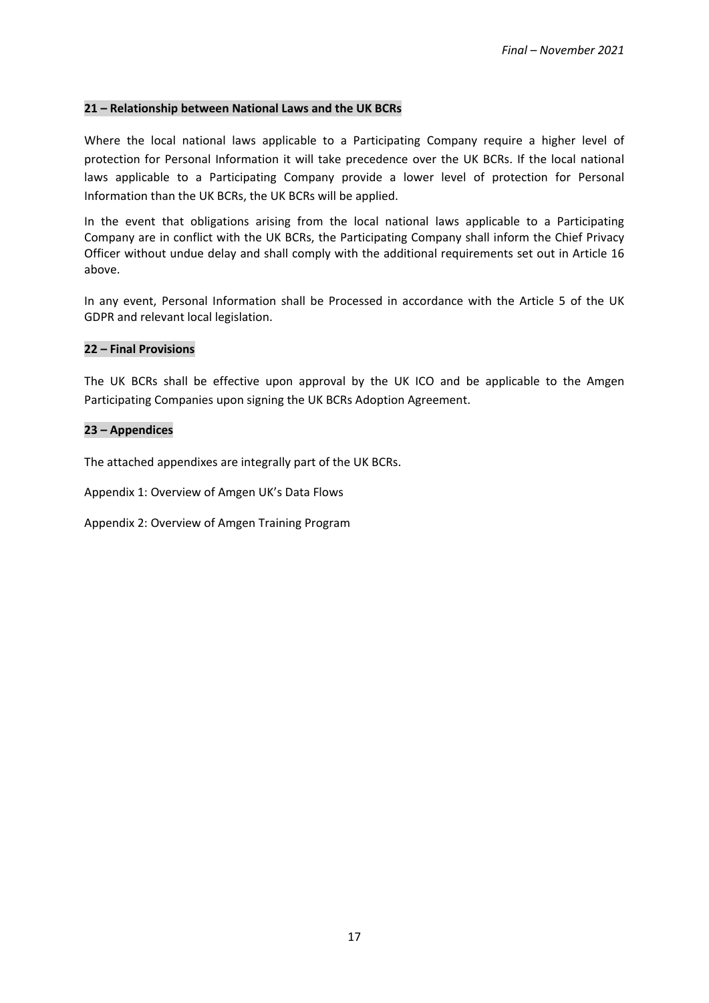#### **21 – Relationship between National Laws and the UK BCRs**

Where the local national laws applicable to a Participating Company require a higher level of protection for Personal Information it will take precedence over the UK BCRs. If the local national laws applicable to a Participating Company provide a lower level of protection for Personal Information than the UK BCRs, the UK BCRs will be applied.

In the event that obligations arising from the local national laws applicable to a Participating Company are in conflict with the UK BCRs, the Participating Company shall inform the Chief Privacy Officer without undue delay and shall comply with the additional requirements set out in Article 16 above.

In any event, Personal Information shall be Processed in accordance with the Article 5 of the UK GDPR and relevant local legislation.

#### **22 – Final Provisions**

The UK BCRs shall be effective upon approval by the UK ICO and be applicable to the Amgen Participating Companies upon signing the UK BCRs Adoption Agreement.

#### **23 – Appendices**

The attached appendixes are integrally part of the UK BCRs.

Appendix 1: Overview of Amgen UK's Data Flows

Appendix 2: Overview of Amgen Training Program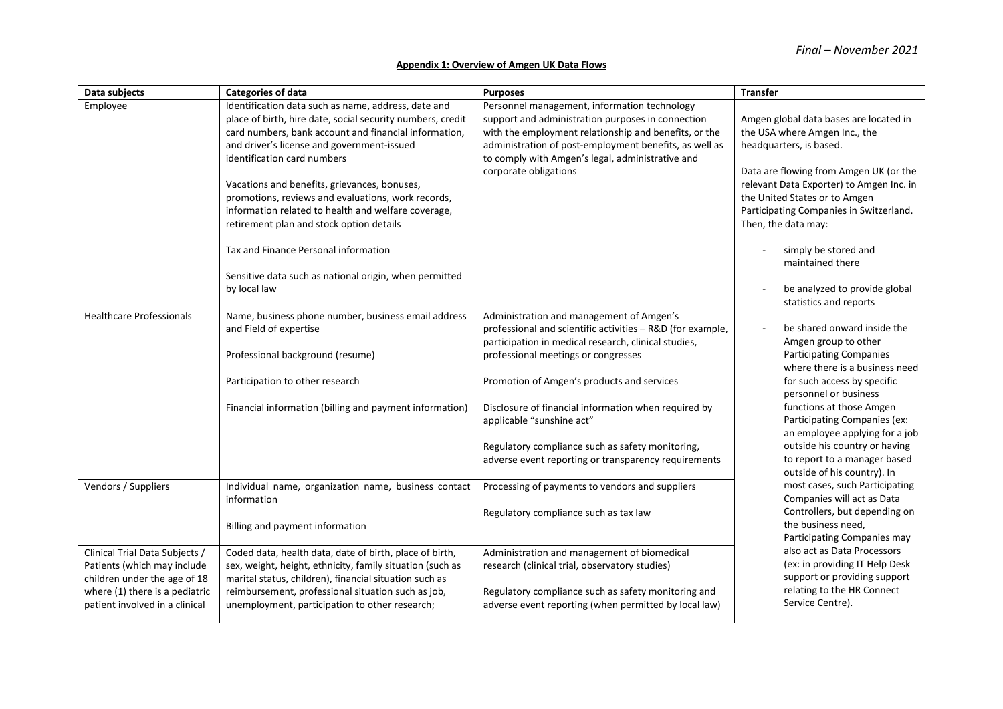#### **Appendix 1: Overview of Amgen UK Data Flows**

| Data subjects                                                                                                                   | <b>Categories of data</b>                                                                                                                                                                                                                                                                               | <b>Purposes</b>                                                                                                                                                                                                                                                                                   | <b>Transfer</b>                                                                                                                                                                          |  |
|---------------------------------------------------------------------------------------------------------------------------------|---------------------------------------------------------------------------------------------------------------------------------------------------------------------------------------------------------------------------------------------------------------------------------------------------------|---------------------------------------------------------------------------------------------------------------------------------------------------------------------------------------------------------------------------------------------------------------------------------------------------|------------------------------------------------------------------------------------------------------------------------------------------------------------------------------------------|--|
| Employee                                                                                                                        | Identification data such as name, address, date and<br>place of birth, hire date, social security numbers, credit<br>card numbers, bank account and financial information,<br>and driver's license and government-issued<br>identification card numbers<br>Vacations and benefits, grievances, bonuses, | Personnel management, information technology<br>support and administration purposes in connection<br>with the employment relationship and benefits, or the<br>administration of post-employment benefits, as well as<br>to comply with Amgen's legal, administrative and<br>corporate obligations | Amgen global data bases are located in<br>the USA where Amgen Inc., the<br>headquarters, is based.<br>Data are flowing from Amgen UK (or the<br>relevant Data Exporter) to Amgen Inc. in |  |
|                                                                                                                                 | promotions, reviews and evaluations, work records,<br>information related to health and welfare coverage,<br>retirement plan and stock option details                                                                                                                                                   |                                                                                                                                                                                                                                                                                                   | the United States or to Amgen<br>Participating Companies in Switzerland.<br>Then, the data may:                                                                                          |  |
|                                                                                                                                 | Tax and Finance Personal information<br>Sensitive data such as national origin, when permitted                                                                                                                                                                                                          |                                                                                                                                                                                                                                                                                                   | simply be stored and<br>maintained there                                                                                                                                                 |  |
|                                                                                                                                 | by local law                                                                                                                                                                                                                                                                                            |                                                                                                                                                                                                                                                                                                   | be analyzed to provide global<br>statistics and reports                                                                                                                                  |  |
| <b>Healthcare Professionals</b>                                                                                                 | Name, business phone number, business email address<br>and Field of expertise                                                                                                                                                                                                                           | Administration and management of Amgen's<br>professional and scientific activities - R&D (for example,<br>participation in medical research, clinical studies,                                                                                                                                    | be shared onward inside the<br>Amgen group to other                                                                                                                                      |  |
|                                                                                                                                 | Professional background (resume)<br>Participation to other research                                                                                                                                                                                                                                     | professional meetings or congresses<br>Promotion of Amgen's products and services                                                                                                                                                                                                                 | <b>Participating Companies</b><br>where there is a business need<br>for such access by specific                                                                                          |  |
|                                                                                                                                 | Financial information (billing and payment information)                                                                                                                                                                                                                                                 | Disclosure of financial information when required by<br>applicable "sunshine act"                                                                                                                                                                                                                 | personnel or business<br>functions at those Amgen<br>Participating Companies (ex:<br>an employee applying for a job                                                                      |  |
|                                                                                                                                 |                                                                                                                                                                                                                                                                                                         | Regulatory compliance such as safety monitoring,<br>adverse event reporting or transparency requirements                                                                                                                                                                                          | outside his country or having<br>to report to a manager based<br>outside of his country). In                                                                                             |  |
| Vendors / Suppliers                                                                                                             | Individual name, organization name, business contact<br>information                                                                                                                                                                                                                                     | Processing of payments to vendors and suppliers<br>Regulatory compliance such as tax law                                                                                                                                                                                                          | most cases, such Participating<br>Companies will act as Data<br>Controllers, but depending on                                                                                            |  |
|                                                                                                                                 | Billing and payment information                                                                                                                                                                                                                                                                         |                                                                                                                                                                                                                                                                                                   | the business need,<br>Participating Companies may                                                                                                                                        |  |
| Clinical Trial Data Subjects /<br>Patients (which may include<br>children under the age of 18<br>where (1) there is a pediatric | Coded data, health data, date of birth, place of birth,<br>sex, weight, height, ethnicity, family situation (such as<br>marital status, children), financial situation such as<br>reimbursement, professional situation such as job,                                                                    | Administration and management of biomedical<br>research (clinical trial, observatory studies)<br>Regulatory compliance such as safety monitoring and                                                                                                                                              | also act as Data Processors<br>(ex: in providing IT Help Desk<br>support or providing support<br>relating to the HR Connect                                                              |  |
| patient involved in a clinical                                                                                                  | unemployment, participation to other research;                                                                                                                                                                                                                                                          | adverse event reporting (when permitted by local law)                                                                                                                                                                                                                                             | Service Centre).                                                                                                                                                                         |  |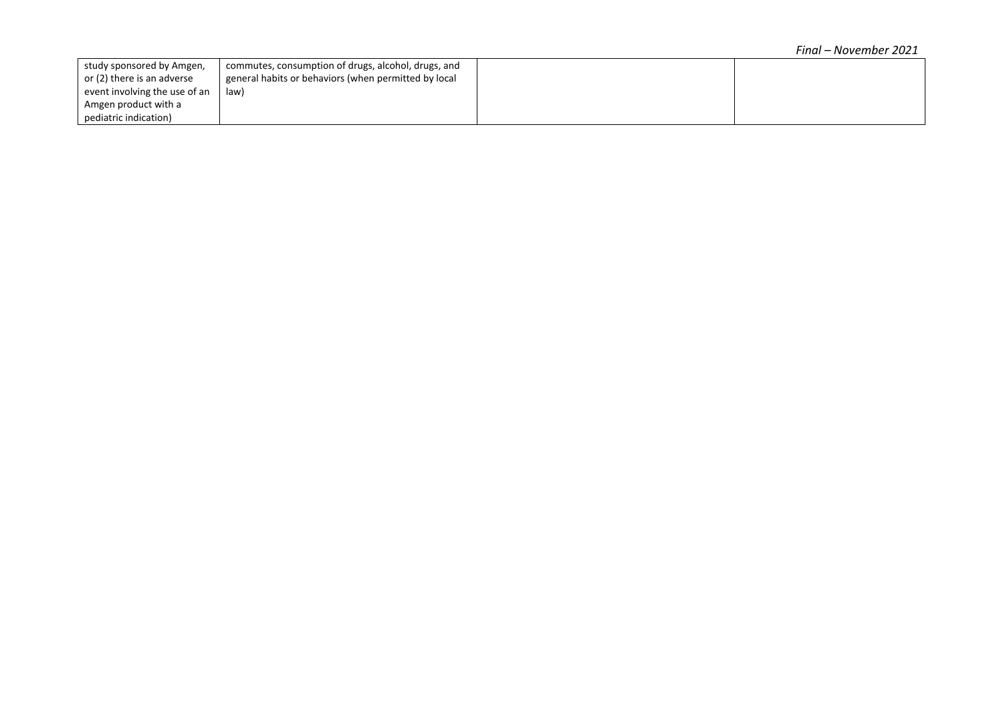| study sponsored by Amgen,     | commutes, consumption of drugs, alcohol, drugs, and  |  |
|-------------------------------|------------------------------------------------------|--|
| or (2) there is an adverse    | general habits or behaviors (when permitted by local |  |
| event involving the use of an | law)                                                 |  |
| Amgen product with a          |                                                      |  |
| pediatric indication)         |                                                      |  |